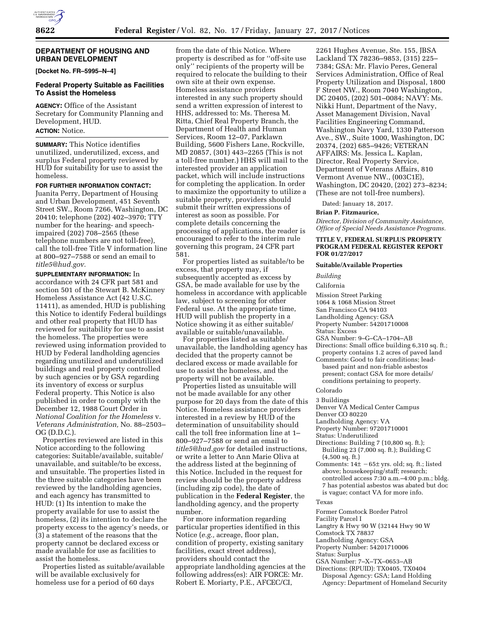## **DEPARTMENT OF HOUSING AND URBAN DEVELOPMENT**

**[Docket No. FR–5995–N–4]** 

# **Federal Property Suitable as Facilities To Assist the Homeless**

**AGENCY:** Office of the Assistant Secretary for Community Planning and Development, HUD.

# **ACTION:** Notice.

**SUMMARY:** This Notice identifies unutilized, underutilized, excess, and surplus Federal property reviewed by HUD for suitability for use to assist the homeless.

#### **FOR FURTHER INFORMATION CONTACT:**

Juanita Perry, Department of Housing and Urban Development, 451 Seventh Street SW., Room 7266, Washington, DC 20410; telephone (202) 402–3970; TTY number for the hearing- and speechimpaired (202) 708–2565 (these telephone numbers are not toll-free), call the toll-free Title V information line at 800–927–7588 or send an email to *[title5@hud.gov.](mailto:title5@hud.gov)* 

**SUPPLEMENTARY INFORMATION:** In accordance with 24 CFR part 581 and section 501 of the Stewart B. McKinney Homeless Assistance Act (42 U.S.C. 11411), as amended, HUD is publishing this Notice to identify Federal buildings and other real property that HUD has reviewed for suitability for use to assist the homeless. The properties were reviewed using information provided to HUD by Federal landholding agencies regarding unutilized and underutilized buildings and real property controlled by such agencies or by GSA regarding its inventory of excess or surplus Federal property. This Notice is also published in order to comply with the December 12, 1988 Court Order in *National Coalition for the Homeless* v. *Veterans Administration,* No. 88–2503– OG (D.D.C.).

Properties reviewed are listed in this Notice according to the following categories: Suitable/available, suitable/ unavailable, and suitable/to be excess, and unsuitable. The properties listed in the three suitable categories have been reviewed by the landholding agencies, and each agency has transmitted to HUD: (1) Its intention to make the property available for use to assist the homeless, (2) its intention to declare the property excess to the agency's needs, or (3) a statement of the reasons that the property cannot be declared excess or made available for use as facilities to assist the homeless.

Properties listed as suitable/available will be available exclusively for homeless use for a period of 60 days

from the date of this Notice. Where property is described as for ''off-site use only'' recipients of the property will be required to relocate the building to their own site at their own expense. Homeless assistance providers interested in any such property should send a written expression of interest to HHS, addressed to: Ms. Theresa M. Ritta, Chief Real Property Branch, the Department of Health and Human Services, Room 12–07, Parklawn Building, 5600 Fishers Lane, Rockville, MD 20857, (301) 443–2265 (This is not a toll-free number.) HHS will mail to the interested provider an application packet, which will include instructions for completing the application. In order to maximize the opportunity to utilize a suitable property, providers should submit their written expressions of interest as soon as possible. For complete details concerning the processing of applications, the reader is encouraged to refer to the interim rule governing this program, 24 CFR part 581.

For properties listed as suitable/to be excess, that property may, if subsequently accepted as excess by GSA, be made available for use by the homeless in accordance with applicable law, subject to screening for other Federal use. At the appropriate time, HUD will publish the property in a Notice showing it as either suitable/ available or suitable/unavailable.

For properties listed as suitable/ unavailable, the landholding agency has decided that the property cannot be declared excess or made available for use to assist the homeless, and the property will not be available.

Properties listed as unsuitable will not be made available for any other purpose for 20 days from the date of this Notice. Homeless assistance providers interested in a review by HUD of the determination of unsuitability should call the toll free information line at 1– 800–927–7588 or send an email to *[title5@hud.gov](mailto:title5@hud.gov)* for detailed instructions, or write a letter to Ann Marie Oliva at the address listed at the beginning of this Notice. Included in the request for review should be the property address (including zip code), the date of publication in the **Federal Register**, the landholding agency, and the property number.

For more information regarding particular properties identified in this Notice (*e.g.,* acreage, floor plan, condition of property, existing sanitary facilities, exact street address), providers should contact the appropriate landholding agencies at the following address(es): AIR FORCE: Mr. Robert E. Moriarty, P.E., AFCEC/CI,

2261 Hughes Avenue, Ste. 155, JBSA Lackland TX 78236–9853, (315) 225– 7384; GSA: Mr. Flavio Peres, General Services Administration, Office of Real Property Utilization and Disposal, 1800 F Street NW., Room 7040 Washington, DC 20405, (202) 501–0084; NAVY: Ms. Nikki Hunt, Department of the Navy, Asset Management Division, Naval Facilities Engineering Command, Washington Navy Yard, 1330 Patterson Ave., SW., Suite 1000, Washington, DC 20374, (202) 685–9426; VETERAN AFFAIRS: Ms. Jessica L. Kaplan, Director, Real Property Service, Department of Veterans Affairs, 810 Vermont Avenue NW., (003C1E), Washington, DC 20420, (202) 273–8234; (These are not toll-free numbers).

Dated: January 18, 2017.

#### **Brian P. Fitzmaurice,**

*Director, Division of Community Assistance, Office of Special Needs Assistance Programs.* 

### **TITLE V, FEDERAL SURPLUS PROPERTY PROGRAM FEDERAL REGISTER REPORT FOR 01/27/2017**

#### **Suitable/Available Properties**

*Building* 

### California

- Mission Street Parking
- 1064 & 1068 Mission Street
- San Francisco CA 94103
- Landholding Agency: GSA
- Property Number: 54201710008
- Status: Excess
- GSA Number: 9–G–CA–1704–AB Directions: Small office building 6,310 sq. ft.;
- property contains 1.2 acres of paved land
- Comments: Good to fair conditions; leadbased paint and non-friable asbestos present; contact GSA for more details/ conditions pertaining to property.

# Colorado

- 3 Buildings
- Denver VA Medical Center Campus
- Denver CO 80220
- Landholding Agency: VA
- Property Number: 97201710001
- Status: Underutilized
- Directions: Building 7 (10,800 sq. ft.); Building 23 (7,000 sq. ft.); Building C (4,500 sq. ft.)
- Comments:  $14\pm -65\pm$  yrs. old; sq. ft.; listed above; housekeeping/staff; research; controlled access 7:30 a.m.–4:00 p.m.; bldg. 7 has potential asbestos was abated but doc is vague; contact VA for more info.

#### Texas

- Former Comstock Border Patrol
- Facility Parcel I
- Langtry & Hwy 90 W (32144 Hwy 90 W
- Comstock TX 78837
- Landholding Agency: GSA
- Property Number: 54201710006
- Status: Surplus
- GSA Number: 7–X–TX–0653–AB Directions: (RPUID): TX0405, TX0404 Disposal Agency: GSA; Land Holding
	- Agency: Department of Homeland Security